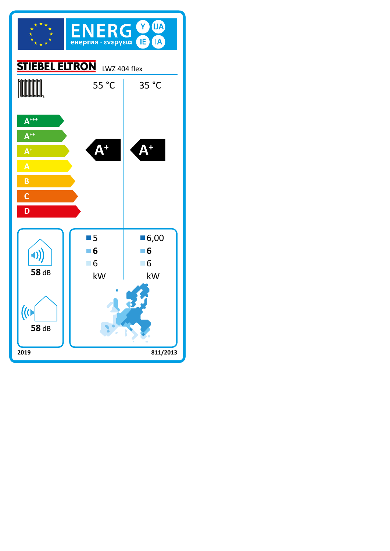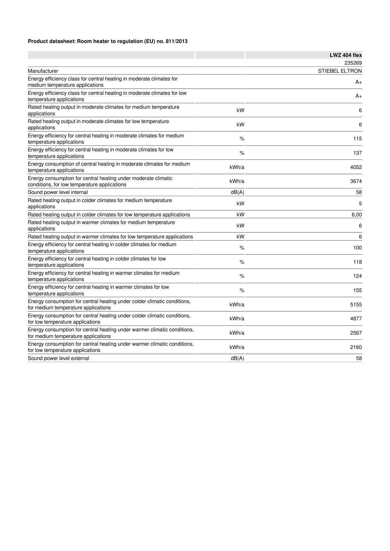## **Product datasheet: Room heater to regulation (EU) no. 811/2013**

|                                                                                                                 |       | LWZ 404 flex          |
|-----------------------------------------------------------------------------------------------------------------|-------|-----------------------|
|                                                                                                                 |       | 235269                |
| Manufacturer                                                                                                    |       | <b>STIEBEL ELTRON</b> |
| Energy efficiency class for central heating in moderate climates for<br>medium temperature applications         |       | A+                    |
| Energy efficiency class for central heating in moderate climates for low<br>temperature applications            |       | A+                    |
| Rated heating output in moderate climates for medium temperature<br>applications                                | kW    | 6                     |
| Rated heating output in moderate climates for low temperature<br>applications                                   | kW    | 6                     |
| Energy efficiency for central heating in moderate climates for medium<br>temperature applications               | $\%$  | 115                   |
| Energy efficiency for central heating in moderate climates for low<br>temperature applications                  | %     | 137                   |
| Energy consumption of central heating in moderate climates for medium<br>temperature applications               | kWh/a | 4052                  |
| Energy consumption for central heating under moderate climatic<br>conditions, for low temperature applications  | kWh/a | 3674                  |
| Sound power level internal                                                                                      | dB(A) | 58                    |
| Rated heating output in colder climates for medium temperature<br>applications                                  | kW    | 5                     |
| Rated heating output in colder climates for low temperature applications                                        | kW    | 6,00                  |
| Rated heating output in warmer climates for medium temperature<br>applications                                  | kW    | 6                     |
| Rated heating output in warmer climates for low temperature applications                                        | kW    | 6                     |
| Energy efficiency for central heating in colder climates for medium<br>temperature applications                 | %     | 100                   |
| Energy efficiency for central heating in colder climates for low<br>temperature applications                    | $\%$  | 118                   |
| Energy efficiency for central heating in warmer climates for medium<br>temperature applications                 | %     | 124                   |
| Energy efficiency for central heating in warmer climates for low<br>temperature applications                    | %     | 155                   |
| Energy consumption for central heating under colder climatic conditions,<br>for medium temperature applications | kWh/a | 5155                  |
| Energy consumption for central heating under colder climatic conditions,<br>for low temperature applications    | kWh/a | 4877                  |
| Energy consumption for central heating under warmer climatic conditions,<br>for medium temperature applications | kWh/a | 2567                  |
| Energy consumption for central heating under warmer climatic conditions,<br>for low temperature applications    | kWh/a | 2160                  |
| Sound power level external                                                                                      | dB(A) | 58                    |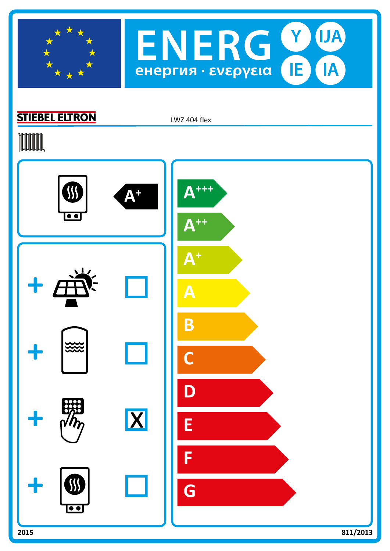



## **STIEBEL ELTRON**

LWZ 404 flex

## **TOOTAL**

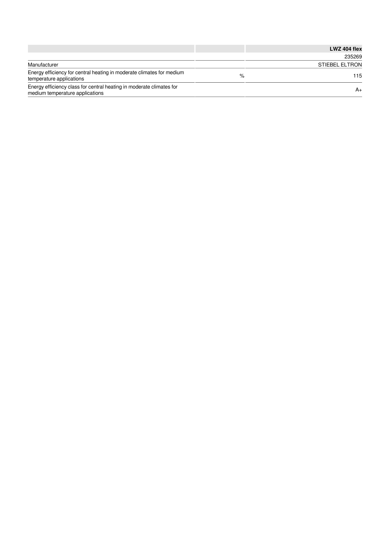|                                                                                                         |   | LWZ 404 flex          |
|---------------------------------------------------------------------------------------------------------|---|-----------------------|
|                                                                                                         |   | 235269                |
| Manufacturer                                                                                            |   | <b>STIEBEL ELTRON</b> |
| Energy efficiency for central heating in moderate climates for medium<br>temperature applications       | % | 115                   |
| Energy efficiency class for central heating in moderate climates for<br>medium temperature applications |   | A+                    |